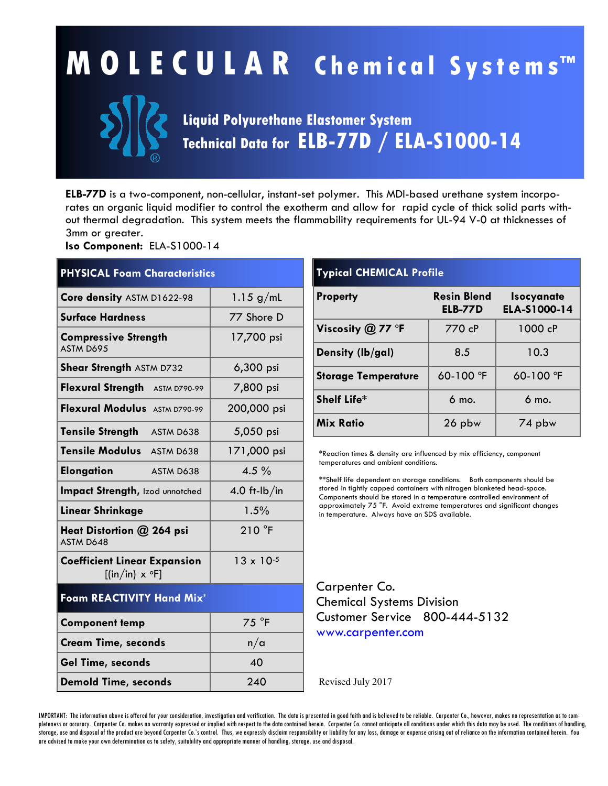# **M O L E C U L A R C h e m i c a l S y s t e ms™**



### **Liquid Polyurethane Elastomer System Technical Data for ELB-77D / ELA-S1000-14**

**ELB-77D** is a two-component, non-cellular, instant-set polymer. This MDI-based urethane system incorporates an organic liquid modifier to control the exotherm and allow for rapid cycle of thick solid parts without thermal degradation. This system meets the flammability requirements for UL-94 V-0 at thicknesses of 3mm or greater.

**Iso Component:** ELA-S1000-14

| <b>PHYSICAL Foam Characteristics</b>                                             |                     |  |  |
|----------------------------------------------------------------------------------|---------------------|--|--|
| Core density ASTM D1622-98                                                       | 1.15 $g/mL$         |  |  |
| <b>Surface Hardness</b>                                                          | 77 Shore D          |  |  |
| <b>Compressive Strength</b><br>ASTM D695                                         | 17,700 psi          |  |  |
| <b>Shear Strength ASTM D732</b>                                                  | 6,300 psi           |  |  |
| Flexural Strength ASTM D790-99                                                   | 7,800 psi           |  |  |
| Flexural Modulus ASTM D790-99                                                    | 200,000 psi         |  |  |
| <b>Tensile Strength</b><br>ASTM D638                                             | 5,050 psi           |  |  |
| Tensile Modulus ASTM D638                                                        | 171,000 psi         |  |  |
| <b>Elongation</b><br>ASTM D638                                                   | $4.5\%$             |  |  |
| Impact Strength, Izod unnotched                                                  | 4.0 ft- $lb/in$     |  |  |
| Linear Shrinkage                                                                 | 1.5%                |  |  |
| Heat Distortion @ 264 psi<br>ASTM D648                                           | 210 °F              |  |  |
| <b>Coefficient Linear Expansion</b><br>$[(\text{in}/\text{in}) \times \text{F}]$ | $13 \times 10^{-5}$ |  |  |
| Foam REACTIVITY Hand Mix*                                                        |                     |  |  |
| <b>Component temp</b>                                                            | 75 °F               |  |  |
| <b>Cream Time, seconds</b>                                                       | n/a                 |  |  |
| Gel Time, seconds                                                                | 40                  |  |  |
| <b>Demold Time, seconds</b>                                                      | 240                 |  |  |

## **Typical CHEMICAL Profile**

| <b>Property</b>            | <b>Resin Blend</b><br><b>ELB-77D</b> | <b>Isocyanate</b><br>ELA-S1000-14 |
|----------------------------|--------------------------------------|-----------------------------------|
| Viscosity $@$ 77 °F        | 770 cP                               | 1000 cP                           |
| Density (lb/gal)           | 8.5                                  | 10.3                              |
| <b>Storage Temperature</b> | 60-100 °F                            | 60-100 °F                         |
| Shelf Life*                | $6$ mo.                              | $6 \text{ mo}$ .                  |
| <b>Mix Ratio</b>           | 26 pbw                               | 74 pbw                            |

\*Reaction times & density are influenced by mix efficiency, component temperatures and ambient conditions.

\*\*Shelf life dependent on storage conditions. Both components should be stored in tightly capped containers with nitrogen blanketed head-space. Components should be stored in a temperature controlled environment of approximately 75 °F. Avoid extreme temperatures and significant changes in temperature. Always have an SDS available.

Carpenter Co. Chemical Systems Division Customer Service 800-444-5132 www.carpenter.com

Revised July 2017

IMPORTANT: The information above is offered for your consideration, investigation and verification. The data is presented in good faith and is believed to be reliable. Carpenter Co., however, makes no representation as to pleteness or accuracy. Carpenter Co. makes no warranty expressed or implied with respect to the data contained herein. Carpenter Co. cannot anticipate all conditions under which this data may be used. The conditions of han storage, use and disposal of the product are beyond Carpenter Co.'s control. Thus, we expressly disclaim responsibility or liability for any loss, damage or expense arising out of reliance on the information contained here are advised to make your own determination as to safety, suitability and appropriate manner of handling, storage, use and disposal.